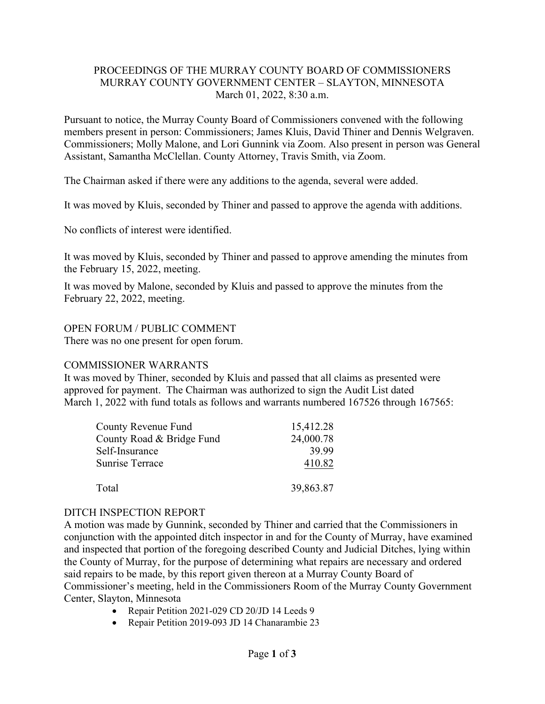## PROCEEDINGS OF THE MURRAY COUNTY BOARD OF COMMISSIONERS MURRAY COUNTY GOVERNMENT CENTER – SLAYTON, MINNESOTA March 01, 2022, 8:30 a.m.

Pursuant to notice, the Murray County Board of Commissioners convened with the following members present in person: Commissioners; James Kluis, David Thiner and Dennis Welgraven. Commissioners; Molly Malone, and Lori Gunnink via Zoom. Also present in person was General Assistant, Samantha McClellan. County Attorney, Travis Smith, via Zoom.

The Chairman asked if there were any additions to the agenda, several were added.

It was moved by Kluis, seconded by Thiner and passed to approve the agenda with additions.

No conflicts of interest were identified.

It was moved by Kluis, seconded by Thiner and passed to approve amending the minutes from the February 15, 2022, meeting.

It was moved by Malone, seconded by Kluis and passed to approve the minutes from the February 22, 2022, meeting.

#### OPEN FORUM / PUBLIC COMMENT

There was no one present for open forum.

#### COMMISSIONER WARRANTS

It was moved by Thiner, seconded by Kluis and passed that all claims as presented were approved for payment. The Chairman was authorized to sign the Audit List dated March 1, 2022 with fund totals as follows and warrants numbered 167526 through 167565:

| County Revenue Fund       | 15,412.28 |
|---------------------------|-----------|
| County Road & Bridge Fund | 24,000.78 |
| Self-Insurance            | 39.99     |
| <b>Sunrise Terrace</b>    | 410.82    |
| Total                     | 39,863.87 |

## DITCH INSPECTION REPORT

A motion was made by Gunnink, seconded by Thiner and carried that the Commissioners in conjunction with the appointed ditch inspector in and for the County of Murray, have examined and inspected that portion of the foregoing described County and Judicial Ditches, lying within the County of Murray, for the purpose of determining what repairs are necessary and ordered said repairs to be made, by this report given thereon at a Murray County Board of Commissioner's meeting, held in the Commissioners Room of the Murray County Government Center, Slayton, Minnesota

- Repair Petition 2021-029 CD 20/JD 14 Leeds 9
- Repair Petition 2019-093 JD 14 Chanarambie 23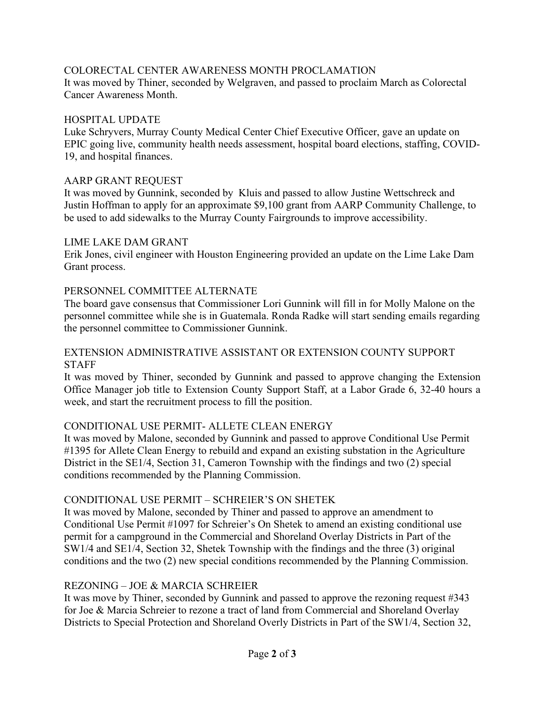# COLORECTAL CENTER AWARENESS MONTH PROCLAMATION

It was moved by Thiner, seconded by Welgraven, and passed to proclaim March as Colorectal Cancer Awareness Month.

#### HOSPITAL UPDATE

Luke Schryvers, Murray County Medical Center Chief Executive Officer, gave an update on EPIC going live, community health needs assessment, hospital board elections, staffing, COVID-19, and hospital finances.

#### AARP GRANT REQUEST

It was moved by Gunnink, seconded by Kluis and passed to allow Justine Wettschreck and Justin Hoffman to apply for an approximate \$9,100 grant from AARP Community Challenge, to be used to add sidewalks to the Murray County Fairgrounds to improve accessibility.

#### LIME LAKE DAM GRANT

Erik Jones, civil engineer with Houston Engineering provided an update on the Lime Lake Dam Grant process.

## PERSONNEL COMMITTEE ALTERNATE

The board gave consensus that Commissioner Lori Gunnink will fill in for Molly Malone on the personnel committee while she is in Guatemala. Ronda Radke will start sending emails regarding the personnel committee to Commissioner Gunnink.

#### EXTENSION ADMINISTRATIVE ASSISTANT OR EXTENSION COUNTY SUPPORT **STAFF**

It was moved by Thiner, seconded by Gunnink and passed to approve changing the Extension Office Manager job title to Extension County Support Staff, at a Labor Grade 6, 32-40 hours a week, and start the recruitment process to fill the position.

## CONDITIONAL USE PERMIT- ALLETE CLEAN ENERGY

It was moved by Malone, seconded by Gunnink and passed to approve Conditional Use Permit #1395 for Allete Clean Energy to rebuild and expand an existing substation in the Agriculture District in the SE1/4, Section 31, Cameron Township with the findings and two (2) special conditions recommended by the Planning Commission.

## CONDITIONAL USE PERMIT – SCHREIER'S ON SHETEK

It was moved by Malone, seconded by Thiner and passed to approve an amendment to Conditional Use Permit #1097 for Schreier's On Shetek to amend an existing conditional use permit for a campground in the Commercial and Shoreland Overlay Districts in Part of the SW1/4 and SE1/4, Section 32, Shetek Township with the findings and the three (3) original conditions and the two (2) new special conditions recommended by the Planning Commission.

## REZONING – JOE & MARCIA SCHREIER

It was move by Thiner, seconded by Gunnink and passed to approve the rezoning request #343 for Joe & Marcia Schreier to rezone a tract of land from Commercial and Shoreland Overlay Districts to Special Protection and Shoreland Overly Districts in Part of the SW1/4, Section 32,